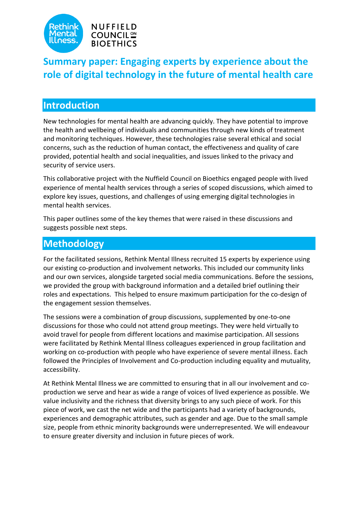



# **Summary paper: Engaging experts by experience about the role of digital technology in the future of mental health care**

# **Introduction**

New technologies for mental health are advancing quickly. They have potential to improve the health and wellbeing of individuals and communities through new kinds of treatment and monitoring techniques. However, these technologies raise several ethical and social concerns, such as the reduction of human contact, the effectiveness and quality of care provided, potential health and social inequalities, and issues linked to the privacy and security of service users.

This collaborative project with the Nuffield Council on Bioethics engaged people with lived experience of mental health services through a series of scoped discussions, which aimed to explore key issues, questions, and challenges of using emerging digital technologies in mental health services.

This paper outlines some of the key themes that were raised in these discussions and suggests possible next steps.

# **Methodology**

For the facilitated sessions, Rethink Mental Illness recruited 15 experts by experience using our existing co-production and involvement networks. This included our community links and our own services, alongside targeted social media communications. Before the sessions, we provided the group with background information and a detailed brief outlining their roles and expectations. This helped to ensure maximum participation for the co-design of the engagement session themselves.

The sessions were a combination of group discussions, supplemented by one-to-one discussions for those who could not attend group meetings. They were held virtually to avoid travel for people from different locations and maximise participation. All sessions were facilitated by Rethink Mental Illness colleagues experienced in group facilitation and working on co-production with people who have experience of severe mental illness. Each followed the Principles of Involvement and Co-production including equality and mutuality, accessibility.

At Rethink Mental Illness we are committed to ensuring that in all our involvement and coproduction we serve and hear as wide a range of voices of lived experience as possible. We value inclusivity and the richness that diversity brings to any such piece of work. For this piece of work, we cast the net wide and the participants had a variety of backgrounds, experiences and demographic attributes, such as gender and age. Due to the small sample size, people from ethnic minority backgrounds were underrepresented. We will endeavour to ensure greater diversity and inclusion in future pieces of work.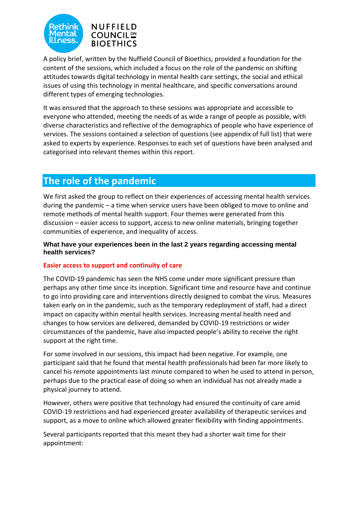



A policy brief, written by the Nuffield Council of Bioethics, provided a foundation for the content of the sessions, which included a focus on the role of the pandemic on shifting attitudes towards digital technology in mental health care settings, the social and ethical issues of using this technology in mental healthcare, and specific conversations around different types of emerging technologies.

It was ensured that the approach to these sessions was appropriate and accessible to everyone who attended, meeting the needs of as wide a range of people as possible, with diverse characteristics and reflective of the demographics of people who have experience of services. The sessions contained a selection of questions (see appendix of full list) that were asked to experts by experience. Responses to each set of questions have been analysed and categorised into relevant themes within this report.

# **The role of the pandemic**

We first asked the group to reflect on their experiences of accessing mental health services during the pandemic – a time when service users have been obliged to move to online and remote methods of mental health support. Four themes were generated from this discussion – easier access to support, access to new online materials, bringing together communities of experience, and inequality of access.

## **What have your experiences been in the last 2 years regarding accessing mental health services?**

## **Easier access to support and continuity of care**

The COVID-19 pandemic has seen the NHS come under more significant pressure than perhaps any other time since its inception. Significant time and resource have and continue to go into providing care and interventions directly designed to combat the virus. Measures taken early on in the pandemic, such as the temporary redeployment of staff, had a direct impact on capacity within mental health services. Increasing mental health need and changes to how services are delivered, demanded by COVID-19 restrictions or wider circumstances of the pandemic, have also impacted people's ability to receive the right support at the right time.

For some involved in our sessions, this impact had been negative. For example, one participant said that he found that mental health professionals had been far more likely to cancel his remote appointments last minute compared to when he used to attend in person, perhaps due to the practical ease of doing so when an individual has not already made a physical journey to attend.

However, others were positive that technology had ensured the continuity of care amid COVID-19 restrictions and had experienced greater availability of therapeutic services and support, as a move to online which allowed greater flexibility with finding appointments.

Several participants reported that this meant they had a shorter wait time for their appointment: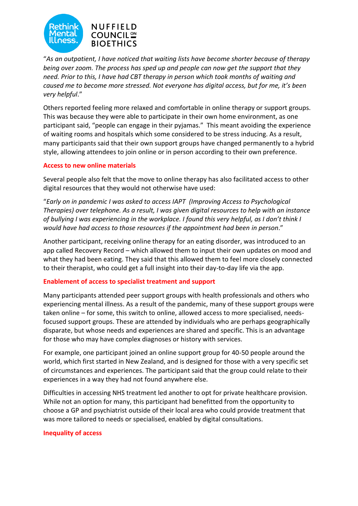

"*As an outpatient, I have noticed that waiting lists have become shorter because of therapy being over zoom. The process has sped up and people can now get the support that they need. Prior to this, I have had CBT therapy in person which took months of waiting and caused me to become more stressed. Not everyone has digital access, but for me, it's been very helpful*."

Others reported feeling more relaxed and comfortable in online therapy or support groups. This was because they were able to participate in their own home environment, as one participant said, "people can engage in their pyjamas." This meant avoiding the experience of waiting rooms and hospitals which some considered to be stress inducing. As a result, many participants said that their own support groups have changed permanently to a hybrid style, allowing attendees to join online or in person according to their own preference.

## **Access to new online materials**

Several people also felt that the move to online therapy has also facilitated access to other digital resources that they would not otherwise have used:

"*Early on in pandemic I was asked to access IAPT (Improving Access to Psychological Therapies) over telephone. As a result, I was given digital resources to help with an instance of bullying I was experiencing in the workplace. I found this very helpful, as I don't think I would have had access to those resources if the appointment had been in person*."

Another participant, receiving online therapy for an eating disorder, was introduced to an app called Recovery Record – which allowed them to input their own updates on mood and what they had been eating. They said that this allowed them to feel more closely connected to their therapist, who could get a full insight into their day-to-day life via the app.

## **Enablement of access to specialist treatment and support**

Many participants attended peer support groups with health professionals and others who experiencing mental illness. As a result of the pandemic, many of these support groups were taken online – for some, this switch to online, allowed access to more specialised, needsfocused support groups. These are attended by individuals who are perhaps geographically disparate, but whose needs and experiences are shared and specific. This is an advantage for those who may have complex diagnoses or history with services.

For example, one participant joined an online support group for 40-50 people around the world, which first started in New Zealand, and is designed for those with a very specific set of circumstances and experiences. The participant said that the group could relate to their experiences in a way they had not found anywhere else.

Difficulties in accessing NHS treatment led another to opt for private healthcare provision. While not an option for many, this participant had benefitted from the opportunity to choose a GP and psychiatrist outside of their local area who could provide treatment that was more tailored to needs or specialised, enabled by digital consultations.

#### **Inequality of access**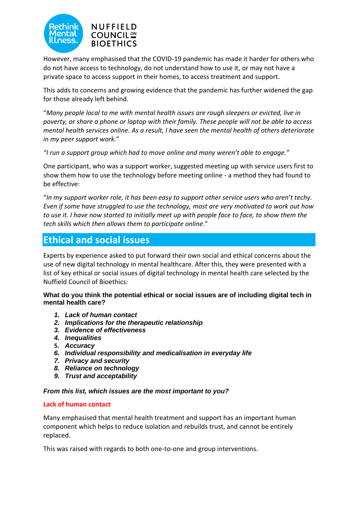



However, many emphasised that the COVID-19 pandemic has made it harder for others who do not have access to technology, do not understand how to use it, or may not have a private space to access support in their homes, to access treatment and support.

This adds to concerns and growing evidence that the pandemic has further widened the gap for those already left behind.

"*Many people local to me with mental health issues are rough sleepers or evicted, live in poverty, or share a phone or laptop with their family. These people will not be able to access mental health services online. As a result, I have seen the mental health of others deteriorate in my peer support work*."

*"I run a support group which had to move online and many weren't able to engage."*

One participant, who was a support worker, suggested meeting up with service users first to show them how to use the technology before meeting online - a method they had found to be effective:

"*In my support worker role, it has been easy to support other service users who aren't techy. Even if some have struggled to use the technology, most are very motivated to work out how to use it. I have now started to initially meet up with people face to face, to show them the tech skills which then allows them to participate online*."

# **Ethical and social issues**

Experts by experience asked to put forward their own social and ethical concerns about the use of new digital technology in mental healthcare. After this, they were presented with a list of key ethical or social issues of digital technology in mental health care selected by the Nuffield Council of Bioethics:

#### **What do you think the potential ethical or social issues are of including digital tech in mental health care?**

- *1. Lack of human contact*
- *2. Implications for the therapeutic relationship*
- *3. Evidence of effectiveness*
- *4. Inequalities*
- **5.** *Accuracy*
- *6. Individual responsibility and medicalisation in everyday life*
- *7. Privacy and security*
- *8. Reliance on technology*
- *9. Trust and acceptability*

#### *From this list, which issues are the most important to you?*

#### **Lack of human contact**

Many emphasised that mental health treatment and support has an important human component which helps to reduce isolation and rebuilds trust, and cannot be entirely replaced.

This was raised with regards to both one-to-one and group interventions.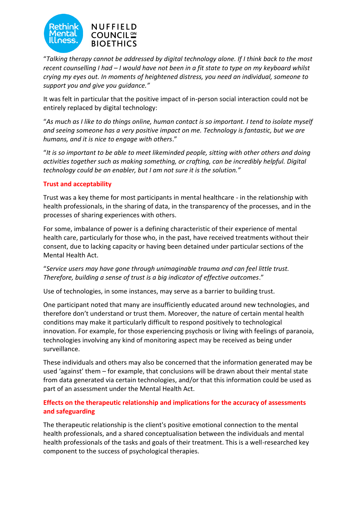

"*Talking therapy cannot be addressed by digital technology alone. If I think back to the most recent counselling I had – I would have not been in a fit state to type on my keyboard whilst crying my eyes out. In moments of heightened distress, you need an individual, someone to support you and give you guidance."*

It was felt in particular that the positive impact of in-person social interaction could not be entirely replaced by digital technology:

"*As much as I like to do things online, human contact is so important. I tend to isolate myself and seeing someone has a very positive impact on me. Technology is fantastic, but we are humans, and it is nice to engage with others*."

"*It is so important to be able to meet likeminded people, sitting with other others and doing activities together such as making something, or crafting, can be incredibly helpful. Digital technology could be an enabler, but I am not sure it is the solution."*

## **Trust and acceptability**

Trust was a key theme for most participants in mental healthcare - in the relationship with health professionals, in the sharing of data, in the transparency of the processes, and in the processes of sharing experiences with others.

For some, imbalance of power is a defining characteristic of their experience of mental health care, particularly for those who, in the past, have received treatments without their consent, due to lacking capacity or having been detained under particular sections of the Mental Health Act.

"*Service users may have gone through unimaginable trauma and can feel little trust. Therefore, building a sense of trust is a big indicator of effective outcomes*."

Use of technologies, in some instances, may serve as a barrier to building trust.

One participant noted that many are insufficiently educated around new technologies, and therefore don't understand or trust them. Moreover, the nature of certain mental health conditions may make it particularly difficult to respond positively to technological innovation. For example, for those experiencing psychosis or living with feelings of paranoia, technologies involving any kind of monitoring aspect may be received as being under surveillance.

These individuals and others may also be concerned that the information generated may be used 'against' them – for example, that conclusions will be drawn about their mental state from data generated via certain technologies, and/or that this information could be used as part of an assessment under the Mental Health Act.

# **Effects on the therapeutic relationship and implications for the accuracy of assessments and safeguarding**

The therapeutic relationship is the client's positive emotional connection to the mental health professionals, and a shared conceptualisation between the individuals and mental health professionals of the tasks and goals of their treatment. This is a well-researched key component to the success of psychological therapies.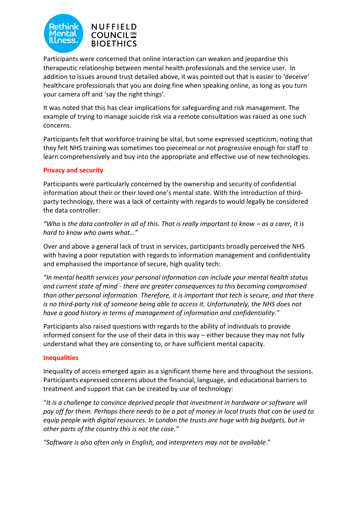



Participants were concerned that online interaction can weaken and jeopardise this therapeutic relationship between mental health professionals and the service user. In addition to issues around trust detailed above, it was pointed out that is easier to 'deceive' healthcare professionals that you are doing fine when speaking online, as long as you turn your camera off and 'say the right things'.

It was noted that this has clear implications for safeguarding and risk management. The example of trying to manage suicide risk via a remote consultation was raised as one such concerns.

Participants felt that workforce training be vital, but some expressed scepticism, noting that they felt NHS training was sometimes too piecemeal or not progressive enough for staff to learn comprehensively and buy into the appropriate and effective use of new technologies.

# **Privacy and security**

Participants were particularly concerned by the ownership and security of confidential information about their or their loved one's mental state. With the introduction of thirdparty technology, there was a lack of certainty with regards to would legally be considered the data controller:

*"Who is the data controller in all of this. That is really important to know – as a carer, it is hard to know who owns what…"*

Over and above a general lack of trust in services, participants broadly perceived the NHS with having a poor reputation with regards to information management and confidentiality and emphasised the importance of secure, high quality tech:

*"In mental health services your personal information can include your mental health status and current state of mind - there are greater consequences to this becoming compromised than other personal information. Therefore, it is important that tech is secure, and that there is no third-party risk of someone being able to access it. Unfortunately, the NHS does not have a good history in terms of management of information and confidentiality."*

Participants also raised questions with regards to the ability of individuals to provide informed consent for the use of their data in this way – either because they may not fully understand what they are consenting to, or have sufficient mental capacity.

## **Inequalities**

Inequality of access emerged again as a significant theme here and throughout the sessions. Participants expressed concerns about the financial, language, and educational barriers to treatment and support that can be created by use of technology:

"*It is a challenge to convince deprived people that investment in hardware or software will pay off for them. Perhaps there needs to be a pot of money in local trusts that can be used to equip people with digital resources. In London the trusts are huge with big budgets, but in other parts of the country this is not the case."*

*"Software is also often only in English, and interpreters may not be available*."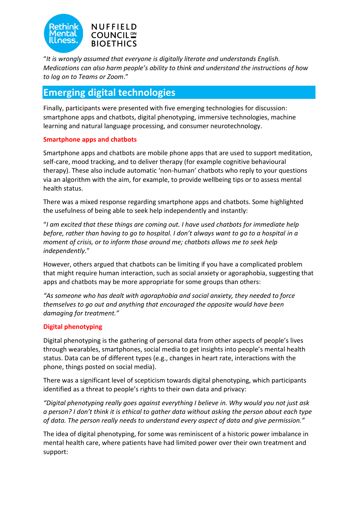



"*It is wrongly assumed that everyone is digitally literate and understands English. Medications can also harm people's ability to think and understand the instructions of how to log on to Teams or Zoom*."

# **Emerging digital technologies**

Finally, participants were presented with five emerging technologies for discussion: smartphone apps and chatbots, digital phenotyping, immersive technologies, machine learning and natural language processing, and consumer neurotechnology.

# **Smartphone apps and chatbots**

Smartphone apps and chatbots are mobile phone apps that are used to support meditation, self-care, mood tracking, and to deliver therapy (for example cognitive behavioural therapy). These also include automatic 'non-human' chatbots who reply to your questions via an algorithm with the aim, for example, to provide wellbeing tips or to assess mental health status.

There was a mixed response regarding smartphone apps and chatbots. Some highlighted the usefulness of being able to seek help independently and instantly:

"*I am excited that these things are coming out. I have used chatbots for immediate help before, rather than having to go to hospital. I don't always want to go to a hospital in a moment of crisis, or to inform those around me; chatbots allows me to seek help independently*."

However, others argued that chatbots can be limiting if you have a complicated problem that might require human interaction, such as social anxiety or agoraphobia, suggesting that apps and chatbots may be more appropriate for some groups than others:

*"As someone who has dealt with agoraphobia and social anxiety, they needed to force themselves to go out and anything that encouraged the opposite would have been damaging for treatment."*

# **Digital phenotyping**

Digital phenotyping is the gathering of personal data from other aspects of people's lives through wearables, smartphones, social media to get insights into people's mental health status. Data can be of different types (e.g., changes in heart rate, interactions with the phone, things posted on social media).

There was a significant level of scepticism towards digital phenotyping, which participants identified as a threat to people's rights to their own data and privacy:

*"Digital phenotyping really goes against everything I believe in. Why would you not just ask a person? I don't think it is ethical to gather data without asking the person about each type of data. The person really needs to understand every aspect of data and give permission."* 

The idea of digital phenotyping, for some was reminiscent of a historic power imbalance in mental health care, where patients have had limited power over their own treatment and support: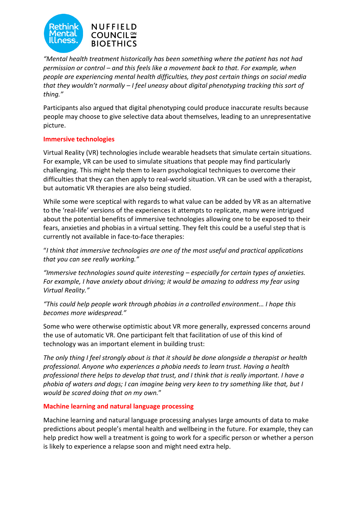

*"Mental health treatment historically has been something where the patient has not had permission or control – and this feels like a movement back to that. For example, when people are experiencing mental health difficulties, they post certain things on social media that they wouldn't normally – I feel uneasy about digital phenotyping tracking this sort of thing."*

Participants also argued that digital phenotyping could produce inaccurate results because people may choose to give selective data about themselves, leading to an unrepresentative picture.

## **Immersive technologies**

Virtual Reality (VR) technologies include wearable headsets that simulate certain situations. For example, VR can be used to simulate situations that people may find particularly challenging. This might help them to learn psychological techniques to overcome their difficulties that they can then apply to real-world situation. VR can be used with a therapist, but automatic VR therapies are also being studied.

While some were sceptical with regards to what value can be added by VR as an alternative to the 'real-life' versions of the experiences it attempts to replicate, many were intrigued about the potential benefits of immersive technologies allowing one to be exposed to their fears, anxieties and phobias in a virtual setting. They felt this could be a useful step that is currently not available in face-to-face therapies:

"*I think that immersive technologies are one of the most useful and practical applications that you can see really working."*

*"Immersive technologies sound quite interesting – especially for certain types of anxieties. For example, I have anxiety about driving; it would be amazing to address my fear using Virtual Reality."*

*"This could help people work through phobias in a controlled environment… I hope this becomes more widespread."*

Some who were otherwise optimistic about VR more generally, expressed concerns around the use of automatic VR. One participant felt that facilitation of use of this kind of technology was an important element in building trust:

*The only thing I feel strongly about is that it should be done alongside a therapist or health professional. Anyone who experiences a phobia needs to learn trust. Having a health professional there helps to develop that trust, and I think that is really important. I have a phobia of waters and dogs; I can imagine being very keen to try something like that, but I would be scared doing that on my own.*"

#### **Machine learning and natural language processing**

Machine learning and natural language processing analyses large amounts of data to make predictions about people's mental health and wellbeing in the future. For example, they can help predict how well a treatment is going to work for a specific person or whether a person is likely to experience a relapse soon and might need extra help.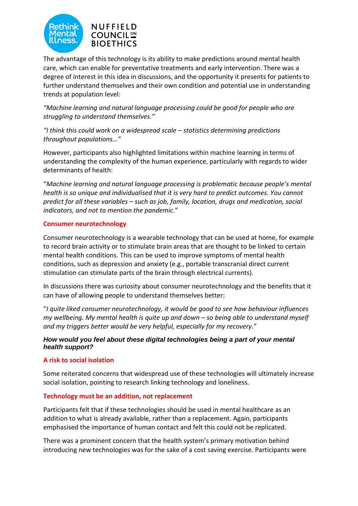



The advantage of this technology is its ability to make predictions around mental health care, which can enable for preventative treatments and early intervention. There was a degree of interest in this idea in discussions, and the opportunity it presents for patients to further understand themselves and their own condition and potential use in understanding trends at population level:

*"Machine learning and natural language processing could be good for people who are struggling to understand themselves."*

*"I think this could work on a widespread scale – statistics determining predictions throughout populations…"*

However, participants also highlighted limitations within machine learning in terms of understanding the complexity of the human experience, particularly with regards to wider determinants of health:

"*Machine learning and natural language processing is problematic because people's mental health is so unique and individualised that it is very hard to predict outcomes. You cannot predict for all these variables – such as job, family, location, drugs and medication, social indicators, and not to mention the pandemic*."

#### **Consumer neurotechnology**

Consumer neurotechnology is a wearable technology that can be used at home, for example to record brain activity or to stimulate brain areas that are thought to be linked to certain mental health conditions. This can be used to improve symptoms of mental health conditions, such as depression and anxiety (e.g., portable transcranial direct current stimulation can stimulate parts of the brain through electrical currents).

In discussions there was curiosity about consumer neurotechnology and the benefits that it can have of allowing people to understand themselves better:

"*I quite liked consumer neurotechnology, it would be good to see how behaviour influences my wellbeing. My mental health is quite up and down – so being able to understand myself and my triggers better would be very helpful, especially for my recovery*."

#### *How would you feel about these digital technologies being a part of your mental health support?*

#### **A risk to social isolation**

Some reiterated concerns that widespread use of these technologies will ultimately increase social isolation, pointing to research linking technology and loneliness.

#### **Technology must be an addition, not replacement**

Participants felt that if these technologies should be used in mental healthcare as an addition to what is already available, rather than a replacement. Again, participants emphasised the importance of human contact and felt this could not be replicated.

There was a prominent concern that the health system's primary motivation behind introducing new technologies was for the sake of a cost saving exercise. Participants were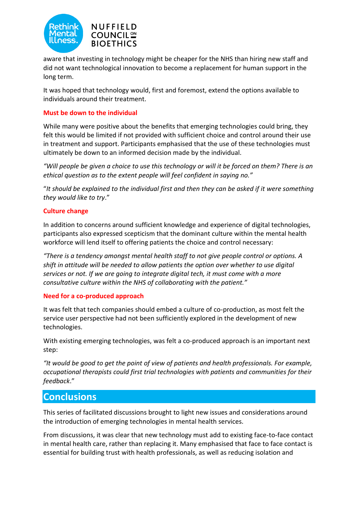



aware that investing in technology might be cheaper for the NHS than hiring new staff and did not want technological innovation to become a replacement for human support in the long term.

It was hoped that technology would, first and foremost, extend the options available to individuals around their treatment.

#### **Must be down to the individual**

While many were positive about the benefits that emerging technologies could bring, they felt this would be limited if not provided with sufficient choice and control around their use in treatment and support. Participants emphasised that the use of these technologies must ultimately be down to an informed decision made by the individual.

*"Will people be given a choice to use this technology or will it be forced on them? There is an ethical question as to the extent people will feel confident in saying no."*

"*It should be explained to the individual first and then they can be asked if it were something they would like to try*."

#### **Culture change**

In addition to concerns around sufficient knowledge and experience of digital technologies, participants also expressed scepticism that the dominant culture within the mental health workforce will lend itself to offering patients the choice and control necessary:

*"There is a tendency amongst mental health staff to not give people control or options. A shift in attitude will be needed to allow patients the option over whether to use digital services or not. If we are going to integrate digital tech, it must come with a more consultative culture within the NHS of collaborating with the patient."*

#### **Need for a co-produced approach**

It was felt that tech companies should embed a culture of co-production, as most felt the service user perspective had not been sufficiently explored in the development of new technologies.

With existing emerging technologies, was felt a co-produced approach is an important next step:

*"It would be good to get the point of view of patients and health professionals. For example, occupational therapists could first trial technologies with patients and communities for their feedback*."

# **Conclusions**

This series of facilitated discussions brought to light new issues and considerations around the introduction of emerging technologies in mental health services.

From discussions, it was clear that new technology must add to existing face-to-face contact in mental health care, rather than replacing it. Many emphasised that face to face contact is essential for building trust with health professionals, as well as reducing isolation and